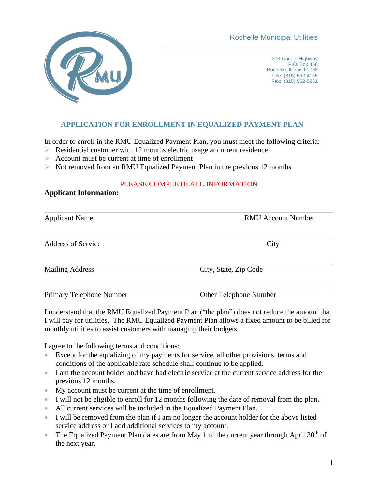Rochelle Municipal Utilities



333 Lincoln Highway P.O. Box 456 Rochelle, Illinois 61068 Tele: (815) 562-4155 Fax: (815) 562-5861

## **APPLICATION FOR ENROLLMENT IN EQUALIZED PAYMENT PLAN**

In order to enroll in the RMU Equalized Payment Plan, you must meet the following criteria:

- $\triangleright$  Residential customer with 12 months electric usage at current residence
- $\triangleright$  Account must be current at time of enrollment
- ➢ Not removed from an RMU Equalized Payment Plan in the previous 12 months

## PLEASE COMPLETE ALL INFORMATION

## **Applicant Information:**

| <b>Applicant Name</b>     | <b>RMU Account Number</b> |  |
|---------------------------|---------------------------|--|
| <b>Address of Service</b> | City                      |  |
| <b>Mailing Address</b>    | City, State, Zip Code     |  |
| Primary Telephone Number  | Other Telephone Number    |  |

I understand that the RMU Equalized Payment Plan ("the plan") does not reduce the amount that I will pay for utilities. The RMU Equalized Payment Plan allows a fixed amount to be billed for monthly utilities to assist customers with managing their budgets.

I agree to the following terms and conditions:

- Except for the equalizing of my payments for service, all other provisions, terms and conditions of the applicable rate schedule shall continue to be applied.
- I am the account holder and have had electric service at the current service address for the previous 12 months.
- My account must be current at the time of enrollment.
- I will not be eligible to enroll for 12 months following the date of removal from the plan.
- All current services will be included in the Equalized Payment Plan.
- I will be removed from the plan if I am no longer the account holder for the above listed service address or I add additional services to my account.
- The Equalized Payment Plan dates are from May 1 of the current year through April  $30<sup>th</sup>$  of the next year.